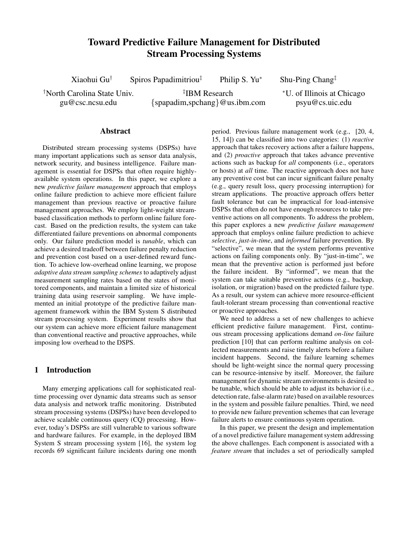# **Toward Predictive Failure Management for Distributed Stream Processing Systems**

Xiaohui Gu<sup>†</sup> Spiros Papadimitriou<sup>‡</sup> Philip S. Yu<sup>\*</sup> Shu-Ping Chang<sup>‡</sup>

† North Carolina State Univ. gu@csc.ncsu.edu

‡ IBM Research {spapadim,spchang}@us.ibm.com <sup>∗</sup>U. of Illinois at Chicago psyu@cs.uic.edu

## **Abstract**

Distributed stream processing systems (DSPSs) have many important applications such as sensor data analysis, network security, and business intelligence. Failure management is essential for DSPSs that often require highlyavailable system operations. In this paper, we explore a new *predictive failure management* approach that employs online failure prediction to achieve more efficient failure management than previous reactive or proactive failure management approaches. We employ light-weight streambased classification methods to perform online failure forecast. Based on the prediction results, the system can take differentiated failure preventions on abnormal components only. Our failure prediction model is *tunable*, which can achieve a desired tradeoff between failure penalty reduction and prevention cost based on a user-defined reward function. To achieve low-overhead online learning, we propose *adaptive data stream sampling schemes* to adaptively adjust measurement sampling rates based on the states of monitored components, and maintain a limited size of historical training data using reservoir sampling. We have implemented an initial prototype of the predictive failure management framework within the IBM System S distributed stream processing system. Experiment results show that our system can achieve more efficient failure management than conventional reactive and proactive approaches, while imposing low overhead to the DSPS.

## **1 Introduction**

Many emerging applications call for sophisticated realtime processing over dynamic data streams such as sensor data analysis and network traffic monitoring. Distributed stream processing systems (DSPSs) have been developed to achieve scalable continuous query (CQ) processing. However, today's DSPSs are still vulnerable to various software and hardware failures. For example, in the deployed IBM System S stream processing system [16], the system log records 69 significant failure incidents during one month

period. Previous failure management work (e.g., [20, 4, 15, 14]) can be classified into two categories: (1) *reactive* approach that takes recovery actions after a failure happens, and (2) *proactive* approach that takes advance preventive actions such as backup for *all* components (i.e., operators or hosts) at *all* time. The reactive approach does not have any preventive cost but can incur significant failure penalty (e.g., query result loss, query processing interruption) for stream applications. The proactive approach offers better fault tolerance but can be impractical for load-intensive DSPSs that often do not have enough resources to take preventive actions on all components. To address the problem, this paper explores a new *predictive failure management* approach that employs online failure prediction to achieve *selective*, *just-in-time*, and *informed* failure prevention. By "selective", we mean that the system performs preventive actions on failing components only. By "just-in-time", we mean that the preventive action is performed just before the failure incident. By "informed", we mean that the system can take suitable preventive actions (e.g., backup, isolation, or migration) based on the predicted failure type. As a result, our system can achieve more resource-efficient fault-tolerant stream processing than conventional reactive or proactive approaches.

We need to address a set of new challenges to achieve efficient predictive failure management. First, continuous stream processing applications demand *on-line* failure prediction [10] that can perform realtime analysis on collected measurements and raise timely alerts before a failure incident happens. Second, the failure learning schemes should be light-weight since the normal query processing can be resource-intensive by itself. Moreover, the failure management for dynamic stream environments is desired to be tunable, which should be able to adjust its behavior (i.e., detection rate, false-alarm rate) based on available resources in the system and possible failure penalties. Third, we need to provide new failure prevention schemes that can leverage failure alerts to ensure continuous system operation.

In this paper, we present the design and implementation of a novel predictive failure management system addressing the above challenges. Each component is associated with a *feature stream* that includes a set of periodically sampled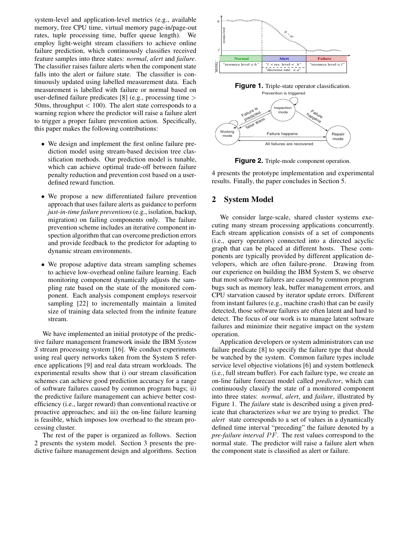system-level and application-level metrics (e.g., available memory, free CPU time, virtual memory page-in/page-out rates, tuple processing time, buffer queue length). We employ light-weight stream classifiers to achieve online failure prediction, which continuously classifies received feature samples into three states: *normal*, *alert* and *failure*. The classifier raises failure alerts when the component state falls into the alert or failure state. The classifier is continuously updated using labelled measurement data. Each measurement is labelled with failure or normal based on user-defined failure predicates [8] (e.g., processing time > 50ms, throughput  $< 100$ ). The alert state corresponds to a warning region where the predictor will raise a failure alert to trigger a proper failure prevention action. Specifically, this paper makes the following contributions:

- We design and implement the first online failure prediction model using stream-based decision tree classification methods. Our prediction model is tunable, which can achieve optimal trade-off between failure penalty reduction and prevention cost based on a userdefined reward function.
- We propose a new differentiated failure prevention approach that uses failure alerts as guidance to perform *just-in-time failure preventions*(e.g., isolation, backup, migration) on failing components only. The failure prevention scheme includes an iterative component inspection algorithm that can overcome prediction errors and provide feedback to the predictor for adapting to dynamic stream environments.
- We propose adaptive data stream sampling schemes to achieve low-overhead online failure learning. Each monitoring component dynamically adjusts the sampling rate based on the state of the monitored component. Each analysis component employs reservoir sampling [22] to incrementally maintain a limited size of training data selected from the infinite feature stream.

We have implemented an initial prototype of the predictive failure management framework inside the IBM *System S* stream processing system [16]. We conduct experiments using real query networks taken from the System S reference applications [9] and real data stream workloads. The experimental results show that i) our stream classification schemes can achieve good prediction accuracy for a range of software failures caused by common program bugs; ii) the predictive failure management can achieve better costefficiency (i.e., larger reward) than conventional reactive or proactive approaches; and iii) the on-line failure learning is feasible, which imposes low overhead to the stream processing cluster.

The rest of the paper is organized as follows. Section 2 presents the system model. Section 3 presents the predictive failure management design and algorithms. Section



**Figure 1.** Triple-state operator classification.



**Figure 2.** Triple-mode component operation.

4 presents the prototype implementation and experimental results. Finally, the paper concludes in Section 5.

## **2 System Model**

We consider large-scale, shared cluster systems executing many stream processing applications concurrently. Each stream application consists of a set of components (i.e., query operators) connected into a directed acyclic graph that can be placed at different hosts. These components are typically provided by different application developers, which are often failure-prone. Drawing from our experience on building the IBM System S, we observe that most software failures are caused by common program bugs such as memory leak, buffer management errors, and CPU starvation caused by iterator update errors. Different from instant failures (e.g., machine crash) that can be easily detected, those software failures are often latent and hard to detect. The focus of our work is to manage latent software failures and minimize their negative impact on the system operation.

Application developers or system administrators can use failure predicate [8] to specify the failure type that should be watched by the system. Common failure types include service level objective violations [6] and system bottleneck (i.e., full stream buffer). For each failure type, we create an on-line failure forecast model called *predictor*, which can continuously classify the state of a monitored component into three states: *normal*, *alert*, and *failure*, illustrated by Figure 1. The *failure* state is described using a given predicate that characterizes *what* we are trying to predict. The *alert* state corresponds to a set of values in a dynamically defined time interval "preceding" the failure denoted by a *pre-failure interval PF*. The rest values correspond to the normal state. The predictor will raise a failure alert when the component state is classified as alert or failure.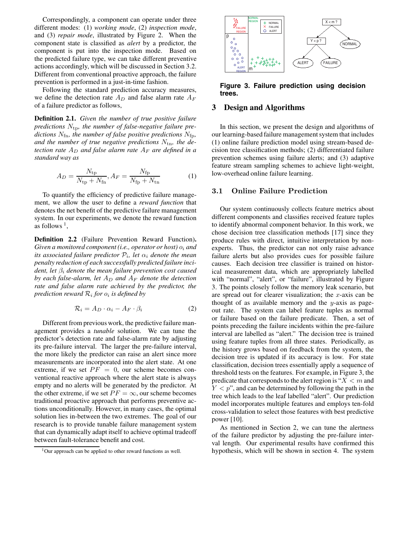Correspondingly, a component can operate under three different modes: (1) *working mode*, (2) *inspection mode*, and (3) *repair mode*, illustrated by Figure 2. When the component state is classified as *alert* by a predictor, the component is put into the inspection mode. Based on the predicted failure type, we can take different preventive actions accordingly, which will be discussed in Section 3.2. Different from conventional proactive approach, the failure prevention is performed in a just-in-time fashion.

Following the standard prediction accuracy measures, we define the detection rate A*<sup>D</sup>* and false alarm rate A*<sup>F</sup>* of a failure predictor as follows,

**Definition 2.1.** *Given the number of true positive failure predictions* Ntp*, the number of false-negative failure predictions*  $N_{\text{fn}}$ *, the number of false positive predictions*  $N_{\text{fp}}$ *,* and the number of true negative predictions  $N_{\text{tn}}$ , the de*tection rate* A*<sup>D</sup> and false alarm rate* A*<sup>F</sup> are defined in a standard way as*

$$
A_D = \frac{N_{\rm tp}}{N_{\rm tp} + N_{\rm fn}}, A_F = \frac{N_{\rm fp}}{N_{\rm fp} + N_{\rm tn}} \tag{1}
$$

To quantify the efficiency of predictive failure management, we allow the user to define a *reward function* that denotes the net benefit of the predictive failure management system. In our experiments, we denote the reward function as follows  $<sup>1</sup>$ ,</sup>

**Definition 2.2** (Failure Prevention Reward Function)**.** *Given a monitored component (i.e., operator or host)* o*<sup>i</sup> and its associated failure predictor*  $P_i$ *, let*  $\alpha_i$  *denote the mean penalty reduction of each successfully predicted failure incident, let* β*<sup>i</sup> denote the mean failure prevention cost caused by each false-alarm, let*  $A_D$  *and*  $A_F$  *denote the detection rate and false alarm rate achieved by the predictor, the prediction reward* R*<sup>i</sup> for* o*<sup>i</sup> is defined by*

$$
\mathcal{R}_i = A_D \cdot \alpha_i - A_F \cdot \beta_i \tag{2}
$$

Different from previous work, the predictive failure management provides a *tunable* solution. We can tune the predictor's detection rate and false-alarm rate by adjusting its pre-failure interval. The larger the pre-failure interval, the more likely the predictor can raise an alert since more measurements are incorporated into the alert state. At one extreme, if we set  $PF = 0$ , our scheme becomes conventional reactive approach where the alert state is always empty and no alerts will be generated by the predictor. At the other extreme, if we set  $PF = \infty$ , our scheme becomes traditional proactive approach that performs preventive actions unconditionally. However, in many cases, the optimal solution lies in-between the two extremes. The goal of our research is to provide tunable failure management system that can dynamically adapt itself to achieve optimal tradeoff between fault-tolerance benefit and cost.



**Figure 3. Failure prediction using decision trees.**

#### **3 Design and Algorithms**

In this section, we present the design and algorithms of our learning-based failure management system that includes (1) online failure prediction model using stream-based decision tree classification methods; (2) differentiated failure prevention schemes using failure alerts; and (3) adaptive feature stream sampling schemes to achieve light-weight, low-overhead online failure learning.

#### **3.1 Online Failure Prediction**

Our system continuously collects feature metrics about different components and classifies received feature tuples to identify abnormal component behavior. In this work, we chose decision tree classification methods [17] since they produce rules with direct, intuitive interpretation by nonexperts. Thus, the predictor can not only raise advance failure alerts but also provides cues for possible failure causes. Each decision tree classifier is trained on historical measurement data, which are appropriately labelled with "normal", "alert", or "failure", illustrated by Figure 3. The points closely follow the memory leak scenario, but are spread out for clearer visualization; the  $x$ -axis can be thought of as available memory and the  $y$ -axis as pageout rate. The system can label feature tuples as normal or failure based on the failure predicate. Then, a set of points preceding the failure incidents within the pre-failure interval are labelled as "alert." The decision tree is trained using feature tuples from all three states. Periodically, as the history grows based on feedback from the system, the decision tree is updated if its accuracy is low. For state classification, decision trees essentially apply a sequence of threshold tests on the features. For example, in Figure 3, the predicate that corresponds to the alert region is " $X < m$  and  $Y < p$ ", and can be determined by following the path in the tree which leads to the leaf labelled "alert". Our prediction model incorporates multiple features and employs ten-fold cross-validation to select those features with best predictive power [10].

As mentioned in Section 2, we can tune the alertness of the failure predictor by adjusting the pre-failure interval length. Our experimental results have confirmed this hypothesis, which will be shown in section 4. The system

<sup>&</sup>lt;sup>1</sup>Our approach can be applied to other reward functions as well.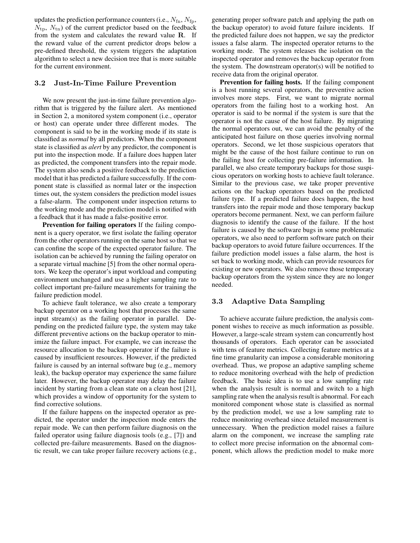updates the prediction performance counters (i.e.,  $N_{\text{fn}}, N_{\text{fp}},$  $N_{\text{tp}}$ ,  $N_{\text{tn}}$ ) of the current predictor based on the feedback from the system and calculates the reward value **R**. If the reward value of the current predictor drops below a pre-defined threshold, the system triggers the adaptation algorithm to select a new decision tree that is more suitable for the current environment.

#### **3.2 Just-In-Time Failure Prevention**

We now present the just-in-time failure prevention algorithm that is triggered by the failure alert. As mentioned in Section 2, a monitored system component (i.e., operator or host) can operate under three different modes. The component is said to be in the working mode if its state is classified as *normal* by all predictors. When the component state is classified as *alert* by any predictor, the component is put into the inspection mode. If a failure does happen later as predicted, the component transfers into the repair mode. The system also sends a positive feedback to the prediction model that it has predicted a failure successfully. If the component state is classified as normal later or the inspection times out, the system considers the prediction model issues a false-alarm. The component under inspection returns to the working mode and the prediction model is notified with a feedback that it has made a false-positive error.

**Prevention for failing operators** If the failing component is a query operator, we first isolate the failing operator from the other operators running on the same host so that we can confine the scope of the expected operator failure. The isolation can be achieved by running the failing operator on a separate virtual machine [5] from the other normal operators. We keep the operator's input workload and computing environment unchanged and use a higher sampling rate to collect important pre-failure measurements for training the failure prediction model.

To achieve fault tolerance, we also create a temporary backup operator on a working host that processes the same input stream(s) as the failing operator in parallel. Depending on the predicted failure type, the system may take different preventive actions on the backup operator to minimize the failure impact. For example, we can increase the resource allocation to the backup operator if the failure is caused by insufficient resources. However, if the predicted failure is caused by an internal software bug (e.g., memory leak), the backup operator may experience the same failure later. However, the backup operator may delay the failure incident by starting from a clean state on a clean host [21], which provides a window of opportunity for the system to find corrective solutions.

If the failure happens on the inspected operator as predicted, the operator under the inspection mode enters the repair mode. We can then perform failure diagnosis on the failed operator using failure diagnosis tools (e.g., [7]) and collected pre-failure measurements. Based on the diagnostic result, we can take proper failure recovery actions (e.g., generating proper software patch and applying the path on the backup operator) to avoid future failure incidents. If the predicted failure does not happen, we say the predictor issues a false alarm. The inspected operator returns to the working mode. The system releases the isolation on the inspected operator and removes the backcup operator from the system. The downstream operator(s) will be notified to receive data from the original operator.

**Prevention for failing hosts.** If the failing component is a host running several operators, the preventive action involves more steps. First, we want to migrate normal operators from the failing host to a working host. An operator is said to be normal if the system is sure that the operator is not the cause of the host failure. By migrating the normal operators out, we can avoid the penalty of the anticipated host failure on those queries involving normal operators. Second, we let those suspicious operators that might be the cause of the host failure continue to run on the failing host for collecting pre-failure information. In parallel, we also create temporary backups for those suspicious operators on working hosts to achieve fault tolerance. Similar to the previous case, we take proper preventive actions on the backup operators based on the predicted failure type. If a predicted failure does happen, the host transfers into the repair mode and those temporary backup operators become permanent. Next, we can perform failure diagnosis to identify the cause of the failure. If the host failure is caused by the software bugs in some problematic operators, we also need to perform software patch on their backup operators to avoid future failure occurrences. If the failure prediction model issues a false alarm, the host is set back to working mode, which can provide resources for existing or new operators. We also remove those temporary backup operators from the system since they are no longer needed.

## **3.3 Adaptive Data Sampling**

To achieve accurate failure prediction, the analysis component wishes to receive as much information as possible. However, a large-scale stream system can concurrently host thousands of operators. Each operator can be associated with tens of feature metrics. Collecting feature metrics at a fine time granularity can impose a considerable monitoring overhead. Thus, we propose an adaptive sampling scheme to reduce monitoring overhead with the help of prediction feedback. The basic idea is to use a low sampling rate when the analysis result is normal and switch to a high sampling rate when the analysis result is abnormal. For each monitored component whose state is classified as normal by the prediction model, we use a low sampling rate to reduce monitoring overhead since detailed measurement is unnecessary. When the prediction model raises a failure alarm on the component, we increase the sampling rate to collect more precise information on the abnormal component, which allows the prediction model to make more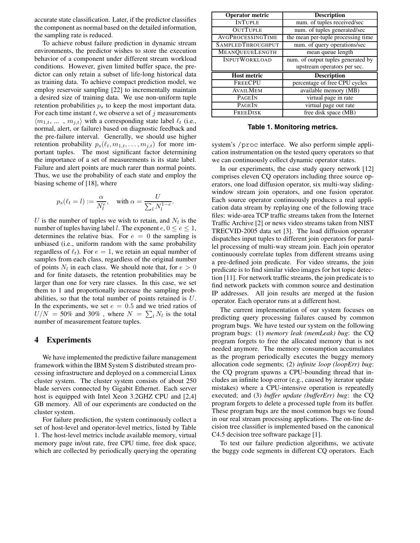accurate state classification. Later, if the predictor classifies the component as normal based on the detailed information, the sampling rate is reduced.

To achieve robust failure prediction in dynamic stream environments, the predictor wishes to store the execution behavior of a component under different stream workload conditions. However, given limited buffer space, the predictor can only retain a subset of life-long historical data as training data. To achieve compact prediction model, we employ reservoir sampling [22] to incrementally maintain a desired size of training data. We use non-uniform tuple retention probabilities p*<sup>s</sup>* to keep the most important data. For each time instant  $t$ , we observe a set of  $j$  measurements  $\langle m_{1,t}, \ldots, m_{j,t} \rangle$  with a corresponding state label  $\ell_t$  (i.e., normal, alert, or failure) based on diagnostic feedback and the pre-failure interval. Generally, we should use higher retention probability  $p_s(\ell_t, m_{1,t}, \ldots, m_{j,t})$  for more important tuples. The most significant factor determining the importance of a set of measurements is its state label. Failure and alert points are much rarer than normal points. Thus, we use the probability of each state and employ the biasing scheme of [18], where

$$
p_s(\ell_t = l) := \frac{\alpha}{N_l^e}, \quad \text{with } \alpha = \frac{U}{\sum_l N_l^{1-e}}.
$$

U is the number of tuples we wish to retain, and  $N_l$  is the number of tuples having label *l*. The exponent  $e, 0 \le e \le 1$ , determines the relative bias. For  $e = 0$  the sampling is unbiased (i.e., uniform random with the same probability regardless of  $\ell_t$ ). For  $e = 1$ , we retain an equal number of samples from each class, regardless of the original number of points  $N_l$  in each class. We should note that, for  $e > 0$ and for finite datasets, the retention probabilities may be larger than one for very rare classes. In this case, we set them to 1 and proportionally increase the sampling probabilities, so that the total number of points retained is U. In the experiments, we set  $e = 0.5$  and we tried ratios of  $U/N = 50\%$  and 30%, where  $N = \sum_l N_l$  is the total number of measurement feature tuples.

## **4 Experiments**

We have implemented the predictive failure management framework within the IBM System S distributed stream processing infrastructure and deployed on a commercial Linux cluster system. The cluster system consists of about 250 blade servers connected by Gigabit Ethernet. Each server host is equipped with Intel Xeon 3.2GHZ CPU and [2,4] GB memory. All of our experiments are conducted on the cluster system.

For failure prediction, the system continuously collect a set of host-level and operator-level metrics, listed by Table 1. The host-level metrics include available memory, virtual memory page in/out rate, free CPU time, free disk space, which are collected by periodically querying the operating

| <b>Operator metric</b>   | <b>Description</b>                 |
|--------------------------|------------------------------------|
| <b>INTUPLE</b>           | num. of tuples received/sec        |
| <b>OUTTUPLE</b>          | num. of tuples generated/sec       |
| AVGPROCESSINGTIME        | the mean per-tuple processing time |
| <b>SAMPLEDTHROUGHPUT</b> | num. of query operations/sec       |
| <b>MEANQUEUELENGTH</b>   | mean queue length                  |
| <b>INPUTWORKLOAD</b>     | num. of output tuples generated by |
|                          | upstream operators per sec.        |
| <b>Host metric</b>       | <b>Description</b>                 |
| <b>FREECPU</b>           | percentage of free CPU cycles      |
| <b>AVAILMEM</b>          | available memory (MB)              |
| <b>PAGEIN</b>            | virtual page in rate               |
| <b>PAGEIN</b>            | virtual page out rate              |
| FREEDISK                 | free disk space (MB)               |

#### **Table 1. Monitoring metrics.**

system's /proc interface. We also perform simple application instrumentation on the tested query operators so that we can continuously collect dynamic operator states.

In our experiments, the case study query network [12] comprises eleven CQ operators including three source operators, one load diffusion operator, six multi-way slidingwindow stream join operators, and one fusion operator. Each source operator continuously produces a real application data stream by replaying one of the following trace files: wide-area TCP traffic streams taken from the Internet Traffic Archive [2] or news video streams taken from NIST TRECVID-2005 data set [3]. The load diffusion operator dispatches input tuples to different join operators for parallel processing of multi-way stream join. Each join operator continuously correlate tuples from different streams using a pre-defined join predicate. For video streams, the join predicate is to find similar video images for hot topic detection [11]. For network traffic streams, the join predicate is to find network packets with common source and destination IP addresses. All join results are merged at the fusion operator. Each operator runs at a different host.

The current implementation of our system focuses on predicting query processing failures caused by common program bugs. We have tested our system on the following program bugs: (1) *memory leak (memLeak) bug*: the CQ program forgets to free the allocated memory that is not needed anymore. The memory consumption accumulates as the program periodically executes the buggy memory allocation code segments; (2) *infinite loop (loopErr) bug*: the CQ program spawns a CPU-bounding thread that includes an infinite loop error (e.g., caused by iterator update mistakes) where a CPU-intensive operation is repeatedly executed; and (3) *buffer update (bufferErr) bug*: the CQ program forgets to delete a processed tuple from its buffer. These program bugs are the most common bugs we found in our real stream processing applications. The on-line decision tree classifier is implemented based on the canonical C4.5 decision tree software package [1].

To test our failure prediction algorithms, we activate the buggy code segments in different CQ operators. Each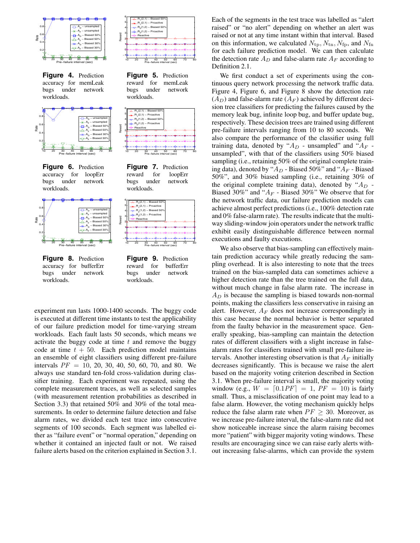

**Figure 4.** Prediction accuracy for memLeak bugs under network workloads.



**Figure 6.** Prediction accuracy for loopErr bugs under network workloads.



**Figure 8.** Prediction accuracy for bufferErr bugs under network workloads.



Reward

**Figure 5.** Prediction reward for memLeak bugs under network workloads.



**Figure 7.** Prediction reward for loopErr bugs under network workloads.



**Figure 9.** Prediction reward for bufferErr bugs under network workloads.

experiment run lasts 1000-1400 seconds. The buggy code is executed at different time instants to test the applicability of our failure prediction model for time-varying stream workloads. Each fault lasts 50 seconds, which means we activate the buggy code at time  $t$  and remove the buggy code at time  $t + 50$ . Each prediction model maintains an ensemble of eight classifiers using different pre-failure intervals  $PF = 10$ , 20, 30, 40, 50, 60, 70, and 80. We always use standard ten-fold cross-validation during classifier training. Each experiment was repeated, using the complete measurement traces, as well as selected samples (with measurement retention probabilities as described in Section 3.3) that retained 50% and 30% of the total measurements. In order to determine failure detection and false alarm rates, we divided each test trace into consecutive segments of 100 seconds. Each segment was labelled either as "failure event" or "normal operation," depending on whether it contained an injected fault or not. We raised failure alerts based on the criterion explained in Section 3.1. Each of the segments in the test trace was labelled as "alert raised" or "no alert" depending on whether an alert was raised or not at any time instant within that interval. Based on this information, we calculated  $N_{\text{tp}}$ ,  $N_{\text{fn}}$ ,  $N_{\text{fp}}$ , and  $N_{\text{fn}}$ for each failure prediction model. We can then calculate the detection rate  $A_D$  and false-alarm rate  $A_F$  according to Definition 2.1.

We first conduct a set of experiments using the continuous query network processing the network traffic data. Figure 4, Figure 6, and Figure 8 show the detection rate  $(A_D)$  and false-alarm rate  $(A_F)$  achieved by different decision tree classifiers for predicting the failures caused by the memory leak bug, infinite loop bug, and buffer update bug, respectively. These decision trees are trained using different pre-failure intervals ranging from 10 to 80 seconds. We also compare the performance of the classifier using full training data, denoted by " $A_D$  - unsampled" and " $A_F$  unsampled", with that of the classifiers using 50% biased sampling (i.e., retaining 50% of the original complete training data), denoted by "A*<sup>D</sup>* - Biased 50%" and "A*<sup>F</sup>* - Biased 50%", and 30% biased sampling (i.e., retaining 30% of the original complete training data), denoted by "A*<sup>D</sup>* - Biased 30%" and "A*<sup>F</sup>* - Biased 30%" We observe that for the network traffic data, our failure prediction models can achieve almost perfect predictions (i.e., 100% detection rate and 0% false-alarm rate). The results indicate that the multiway sliding-window join operators under the network traffic exhibit easily distinguishable difference between normal executions and faulty executions.

We also observe that bias-sampling can effectively maintain prediction accuracy while greatly reducing the sampling overhead. It is also interesting to note that the trees trained on the bias-sampled data can sometimes achieve a higher detection rate than the tree trained on the full data, without much change in false alarm rate. The increase in  $A_D$  is because the sampling is biased towards non-normal points, making the classifiers less conservative in raising an alert. However,  $A_F$  does not increase correspondingly in this case because the normal behavior is better separated from the faulty behavior in the measurement space. Generally speaking, bias-sampling can maintain the detection rates of different classifiers with a slight increase in falsealarm rates for classifiers trained with small pre-failure intervals. Another interesting observation is that  $A_F$  initially decreases significantly. This is because we raise the alert based on the majority voting criterion described in Section 3.1. When pre-failure interval is small, the majority voting window (e.g.,  $W = [0.1PF] = 1$ ,  $PF = 10$ ) is fairly small. Thus, a misclassification of one point may lead to a false alarm. However, the voting mechanism quickly helps reduce the false alarm rate when  $PF \geq 30$ . Moreover, as we increase pre-failure interval, the false-alarm rate did not show noticeable increase since the alarm raising becomes more "patient" with bigger majority voting windows. These results are encouraging since we can raise early alerts without increasing false-alarms, which can provide the system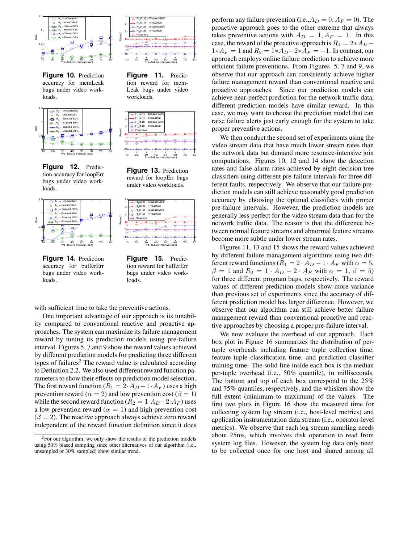

**Figure 10.** Prediction accuracy for memLeak bugs under video workloads.



**Figure 12.** Prediction accuracy for loopErr bugs under video workloads.



**Figure 14.** Prediction accuracy for bufferErr bugs under video workloads.



**Figure 11.** Prediction reward for mem-Leak bugs under video workloads.



**Figure 13.** Prediction reward for loopErr bugs under video workloads.



**Figure 15.** Prediction reward for bufferErr bugs under video workloads.

with sufficient time to take the preventive actions.

One important advantage of our approach is its tunability compared to conventional reactive and proactive approaches. The system can maximize its failure management reward by tuning its prediction models using pre-failure interval. Figures 5, 7 and 9 show the reward values achieved by different prediction models for predicting three different types of failures<sup>2</sup> The reward value is calculated according to Definition 2.2. We also used different reward function parameters to show their effects on prediction model selection. The first reward function ( $R_1 = 2 \cdot A_D - 1 \cdot A_F$ ) uses a high prevention reward ( $\alpha = 2$ ) and low prevention cost ( $\beta = 1$ ) while the second reward function  $(R_2 = 1 \cdot A_D - 2 \cdot A_F)$  uses a low prevention reward ( $\alpha = 1$ ) and high prevention cost  $(\beta = 2)$ . The reactive approach always achieve zero reward independent of the reward function definition since it does

perform any failure prevention (i.e.,  $A_D = 0$ ,  $A_F = 0$ ). The proactive approach goes to the other extreme that always takes preventive actions with  $A_D = 1, A_F = 1$ . In this case, the reward of the proactive approach is  $R_1 = 2 \cdot A_D 1*A_F = 1$  and  $R_2 = 1*A_D-2*A_F = -1$ . In contrast, our approach employs online failure prediction to achieve more efficient failure preventions. From Figures 5, 7 and 9, we observe that our approach can consistently achieve higher failure management reward than conventional reactive and proactive approaches. Since our prediction models can achieve near-perfect prediction for the network traffic data, different prediction models have similar reward. In this case, we may want to choose the prediction model that can raise failure alerts just early enough for the system to take proper preventive actions.

We then conduct the second set of experiments using the video stream data that have much lower stream rates than the network data but demand more resource-intensive join computations. Figures 10, 12 and 14 show the detection rates and false-alarm rates achieved by eight decision tree classifiers using different pre-failure intervals for three different faults, respectively. We observe that our failure prediction models can still achieve reasonably good prediction accuracy by choosing the optimal classifiers with proper pre-failure intervals. However, the prediction models are generally less perfect for the video stream data than for the network traffic data. The reason is that the difference between normal feature streams and abnormal feature streams become more subtle under lower stream rates.

Figures 11, 13 and 15 shows the reward values achieved by different failure management algorithms using two different reward functions ( $R_1 = 2 \cdot A_D - 1 \cdot A_F$  with  $\alpha = 5$ ,  $\beta = 1$  and  $R_2 = 1 \cdot A_D - 2 \cdot A_F$  with  $\alpha = 1, \beta = 5$ ) for three different program bugs, respectively. The reward values of different prediction models show more variance than previous set of experiments since the accuracy of different prediction model has larger difference. However, we observe that our algorithm can still achieve better failure management reward than conventional proactive and reactive approaches by choosing a proper pre-failure interval.

We now evaluate the overhead of our approach. Each box plot in Figure 16 summarizes the distribution of pertuple overheads including feature tuple collection time, feature tuple classification time, and prediction classifier training time. The solid line inside each box is the median per-tuple overhead (i.e., 50% quantile), in milliseconds. The bottom and top of each box correspond to the 25% and 75% quantiles, respectively, and the whiskers show the full extent (minimum to maximum) of the values. The first two plots in Figure 16 show the measured time for collecting system log stream (i.e., host-level metrics) and application instrumentation data stream (i.e., operator-level metrics). We observe that each log stream sampling needs about 25ms, which involves disk operation to read from system log files. However, the system log data only need to be collected once for one host and shared among all

 $2$ For our algorithm, we only show the results of the prediction models using 50% biased sampling since other alternatives of our algorithm (i.e., unsampled or 30% sampled) show similar trend.